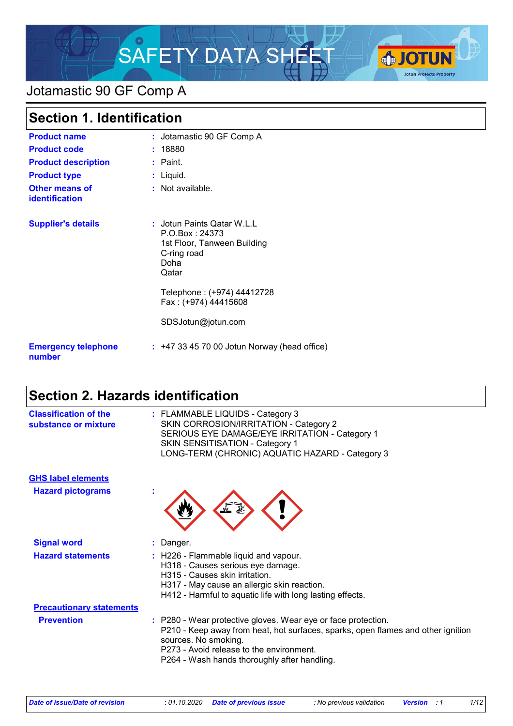

# Jotamastic 90 GF Comp A

| <b>Section 1. Identification</b>        |                                                                                                                                                                                         |
|-----------------------------------------|-----------------------------------------------------------------------------------------------------------------------------------------------------------------------------------------|
| <b>Product name</b>                     | : Jotamastic 90 GF Comp A                                                                                                                                                               |
| <b>Product code</b>                     | : 18880                                                                                                                                                                                 |
| <b>Product description</b>              | $:$ Paint.                                                                                                                                                                              |
| <b>Product type</b>                     | : Liquid.                                                                                                                                                                               |
| <b>Other means of</b><br>identification | : Not available.                                                                                                                                                                        |
| <b>Supplier's details</b>               | : Jotun Paints Qatar W.L.L<br>P.O.Box: 24373<br>1st Floor, Tanween Building<br>C-ring road<br>Doha<br>Qatar<br>Telephone: (+974) 44412728<br>Fax: (+974) 44415608<br>SDSJotun@jotun.com |
| <b>Emergency telephone</b><br>number    | $: +4733457000$ Jotun Norway (head office)                                                                                                                                              |

### **Section 2. Hazards identification**

| <b>Classification of the</b><br>substance or mixture | : FLAMMABLE LIQUIDS - Category 3<br>SKIN CORROSION/IRRITATION - Category 2<br>SERIOUS EYE DAMAGE/EYE IRRITATION - Category 1<br><b>SKIN SENSITISATION - Category 1</b><br>LONG-TERM (CHRONIC) AQUATIC HAZARD - Category 3                                             |
|------------------------------------------------------|-----------------------------------------------------------------------------------------------------------------------------------------------------------------------------------------------------------------------------------------------------------------------|
| <b>GHS label elements</b>                            |                                                                                                                                                                                                                                                                       |
| <b>Hazard pictograms</b>                             |                                                                                                                                                                                                                                                                       |
| <b>Signal word</b>                                   | : Danger.                                                                                                                                                                                                                                                             |
| <b>Hazard statements</b>                             | : H226 - Flammable liquid and vapour.<br>H318 - Causes serious eye damage.<br>H315 - Causes skin irritation.<br>H317 - May cause an allergic skin reaction.<br>H412 - Harmful to aquatic life with long lasting effects.                                              |
| <b>Precautionary statements</b>                      |                                                                                                                                                                                                                                                                       |
| <b>Prevention</b>                                    | : P280 - Wear protective gloves. Wear eye or face protection.<br>P210 - Keep away from heat, hot surfaces, sparks, open flames and other ignition<br>sources. No smoking.<br>P273 - Avoid release to the environment.<br>P264 - Wash hands thoroughly after handling. |
|                                                      |                                                                                                                                                                                                                                                                       |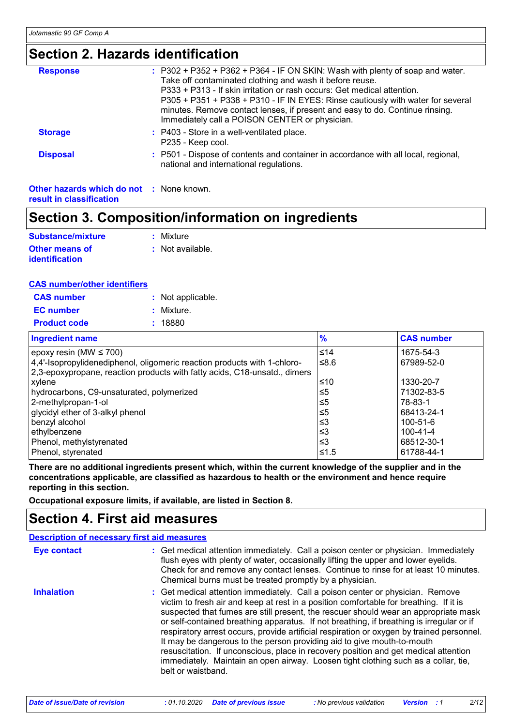### **Section 2. Hazards identification**

| <b>Response</b>                                 | $:$ P302 + P352 + P362 + P364 - IF ON SKIN: Wash with plenty of soap and water.<br>Take off contaminated clothing and wash it before reuse.<br>P333 + P313 - If skin irritation or rash occurs: Get medical attention.<br>P305 + P351 + P338 + P310 - IF IN EYES: Rinse cautiously with water for several<br>minutes. Remove contact lenses, if present and easy to do. Continue rinsing.<br>Immediately call a POISON CENTER or physician. |
|-------------------------------------------------|---------------------------------------------------------------------------------------------------------------------------------------------------------------------------------------------------------------------------------------------------------------------------------------------------------------------------------------------------------------------------------------------------------------------------------------------|
| <b>Storage</b>                                  | : P403 - Store in a well-ventilated place.<br>P235 - Keep cool.                                                                                                                                                                                                                                                                                                                                                                             |
| <b>Disposal</b>                                 | : P501 - Dispose of contents and container in accordance with all local, regional,<br>national and international regulations.                                                                                                                                                                                                                                                                                                               |
| <b>Other hazards which do not : None known.</b> |                                                                                                                                                                                                                                                                                                                                                                                                                                             |

**result in classification**

# **Section 3. Composition/information on ingredients**

| <b>Substance/mixture</b>                | : Mixture        |
|-----------------------------------------|------------------|
| Other means of<br><b>identification</b> | : Not available. |

#### **CAS number/other identifiers**

| <b>CAS number</b>   | : Not applicable. |
|---------------------|-------------------|
| <b>EC</b> number    | : Mixture.        |
| <b>Product code</b> | : 18880           |

| <b>Ingredient name</b>                                                    | $\frac{9}{6}$ | <b>CAS number</b> |
|---------------------------------------------------------------------------|---------------|-------------------|
| epoxy resin (MW $\leq$ 700)                                               | $≤14$         | 1675-54-3         |
| 4,4'-Isopropylidenediphenol, oligomeric reaction products with 1-chloro-  | ≤8.6          | 67989-52-0        |
| 2,3-epoxypropane, reaction products with fatty acids, C18-unsatd., dimers |               |                   |
| xylene                                                                    | ≤10           | 1330-20-7         |
| hydrocarbons, C9-unsaturated, polymerized                                 | ≤5            | 71302-83-5        |
| 2-methylpropan-1-ol                                                       | ≤5            | 78-83-1           |
| glycidyl ether of 3-alkyl phenol                                          | $\leq 5$      | 68413-24-1        |
| benzyl alcohol                                                            | ≤3            | 100-51-6          |
| ethylbenzene                                                              | ≤3            | $100 - 41 - 4$    |
| Phenol, methylstyrenated                                                  | ≤3            | 68512-30-1        |
| Phenol, styrenated                                                        | ≤1.5          | 61788-44-1        |

**There are no additional ingredients present which, within the current knowledge of the supplier and in the concentrations applicable, are classified as hazardous to health or the environment and hence require reporting in this section.**

**Occupational exposure limits, if available, are listed in Section 8.**

### **Section 4. First aid measures**

|                    | <b>Description of necessary first aid measures</b>                                                                                                                                                                                                                                                                                                                                                                                                                                                                                                                                                                                                                                                                                    |
|--------------------|---------------------------------------------------------------------------------------------------------------------------------------------------------------------------------------------------------------------------------------------------------------------------------------------------------------------------------------------------------------------------------------------------------------------------------------------------------------------------------------------------------------------------------------------------------------------------------------------------------------------------------------------------------------------------------------------------------------------------------------|
| <b>Eye contact</b> | : Get medical attention immediately. Call a poison center or physician. Immediately<br>flush eyes with plenty of water, occasionally lifting the upper and lower eyelids.<br>Check for and remove any contact lenses. Continue to rinse for at least 10 minutes.<br>Chemical burns must be treated promptly by a physician.                                                                                                                                                                                                                                                                                                                                                                                                           |
| <b>Inhalation</b>  | : Get medical attention immediately. Call a poison center or physician. Remove<br>victim to fresh air and keep at rest in a position comfortable for breathing. If it is<br>suspected that fumes are still present, the rescuer should wear an appropriate mask<br>or self-contained breathing apparatus. If not breathing, if breathing is irregular or if<br>respiratory arrest occurs, provide artificial respiration or oxygen by trained personnel.<br>It may be dangerous to the person providing aid to give mouth-to-mouth<br>resuscitation. If unconscious, place in recovery position and get medical attention<br>immediately. Maintain an open airway. Loosen tight clothing such as a collar, tie,<br>belt or waistband. |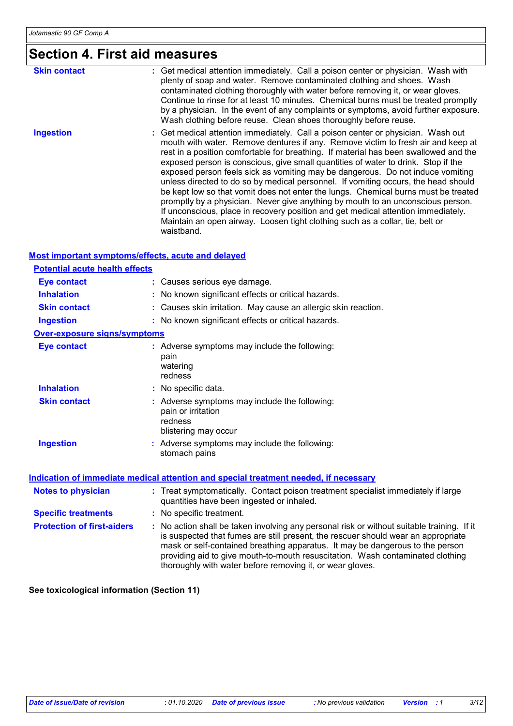# **Section 4. First aid measures**

| <b>Skin contact</b> | : Get medical attention immediately. Call a poison center or physician. Wash with<br>plenty of soap and water. Remove contaminated clothing and shoes. Wash<br>contaminated clothing thoroughly with water before removing it, or wear gloves.<br>Continue to rinse for at least 10 minutes. Chemical burns must be treated promptly<br>by a physician. In the event of any complaints or symptoms, avoid further exposure.<br>Wash clothing before reuse. Clean shoes thoroughly before reuse.                                                                                                                                                                                                                                                                                                                                                                                        |
|---------------------|----------------------------------------------------------------------------------------------------------------------------------------------------------------------------------------------------------------------------------------------------------------------------------------------------------------------------------------------------------------------------------------------------------------------------------------------------------------------------------------------------------------------------------------------------------------------------------------------------------------------------------------------------------------------------------------------------------------------------------------------------------------------------------------------------------------------------------------------------------------------------------------|
| <b>Ingestion</b>    | : Get medical attention immediately. Call a poison center or physician. Wash out<br>mouth with water. Remove dentures if any. Remove victim to fresh air and keep at<br>rest in a position comfortable for breathing. If material has been swallowed and the<br>exposed person is conscious, give small quantities of water to drink. Stop if the<br>exposed person feels sick as vomiting may be dangerous. Do not induce vomiting<br>unless directed to do so by medical personnel. If vomiting occurs, the head should<br>be kept low so that vomit does not enter the lungs. Chemical burns must be treated<br>promptly by a physician. Never give anything by mouth to an unconscious person.<br>If unconscious, place in recovery position and get medical attention immediately.<br>Maintain an open airway. Loosen tight clothing such as a collar, tie, belt or<br>waistband. |

#### **Most important symptoms/effects, acute and delayed**

| <b>Potential acute health effects</b> |                                                                                                                                                                                                                                                                                                                                                                                                                 |
|---------------------------------------|-----------------------------------------------------------------------------------------------------------------------------------------------------------------------------------------------------------------------------------------------------------------------------------------------------------------------------------------------------------------------------------------------------------------|
| <b>Eye contact</b>                    | : Causes serious eye damage.                                                                                                                                                                                                                                                                                                                                                                                    |
| <b>Inhalation</b>                     | : No known significant effects or critical hazards.                                                                                                                                                                                                                                                                                                                                                             |
| <b>Skin contact</b>                   | : Causes skin irritation. May cause an allergic skin reaction.                                                                                                                                                                                                                                                                                                                                                  |
| <b>Ingestion</b>                      | : No known significant effects or critical hazards.                                                                                                                                                                                                                                                                                                                                                             |
| <b>Over-exposure signs/symptoms</b>   |                                                                                                                                                                                                                                                                                                                                                                                                                 |
| <b>Eye contact</b>                    | : Adverse symptoms may include the following:<br>pain<br>watering<br>redness                                                                                                                                                                                                                                                                                                                                    |
| <b>Inhalation</b>                     | : No specific data.                                                                                                                                                                                                                                                                                                                                                                                             |
| <b>Skin contact</b>                   | : Adverse symptoms may include the following:<br>pain or irritation<br>redness<br>blistering may occur                                                                                                                                                                                                                                                                                                          |
| <b>Ingestion</b>                      | : Adverse symptoms may include the following:<br>stomach pains                                                                                                                                                                                                                                                                                                                                                  |
|                                       | <b>Indication of immediate medical attention and special treatment needed, if necessary</b>                                                                                                                                                                                                                                                                                                                     |
| <b>Notes to physician</b>             | : Treat symptomatically. Contact poison treatment specialist immediately if large<br>quantities have been ingested or inhaled.                                                                                                                                                                                                                                                                                  |
| <b>Specific treatments</b>            | : No specific treatment.                                                                                                                                                                                                                                                                                                                                                                                        |
| <b>Protection of first-aiders</b>     | : No action shall be taken involving any personal risk or without suitable training. If it<br>is suspected that fumes are still present, the rescuer should wear an appropriate<br>mask or self-contained breathing apparatus. It may be dangerous to the person<br>providing aid to give mouth-to-mouth resuscitation. Wash contaminated clothing<br>thoroughly with water before removing it, or wear gloves. |

**See toxicological information (Section 11)**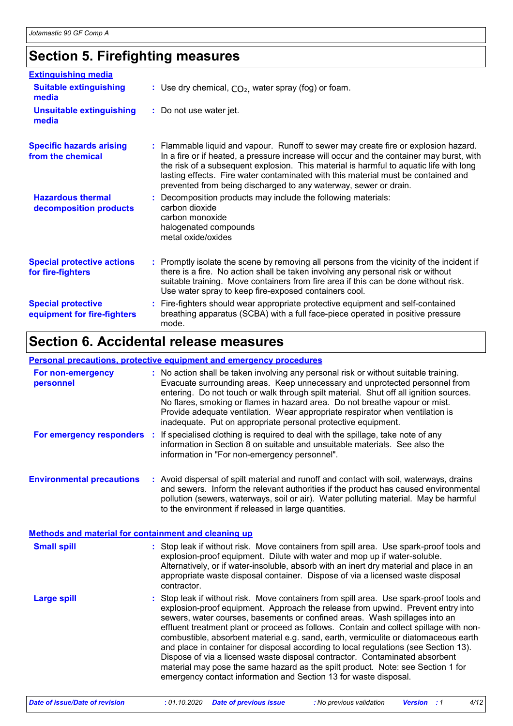## **Section 5. Firefighting measures**

| <b>Extinguishing media</b>                               |                                                                                                                                                                                                                                                                                                                                                                                                                                    |
|----------------------------------------------------------|------------------------------------------------------------------------------------------------------------------------------------------------------------------------------------------------------------------------------------------------------------------------------------------------------------------------------------------------------------------------------------------------------------------------------------|
| <b>Suitable extinguishing</b><br>media                   | : Use dry chemical, $CO2$ , water spray (fog) or foam.                                                                                                                                                                                                                                                                                                                                                                             |
| <b>Unsuitable extinguishing</b><br>media                 | : Do not use water jet.                                                                                                                                                                                                                                                                                                                                                                                                            |
| <b>Specific hazards arising</b><br>from the chemical     | : Flammable liquid and vapour. Runoff to sewer may create fire or explosion hazard.<br>In a fire or if heated, a pressure increase will occur and the container may burst, with<br>the risk of a subsequent explosion. This material is harmful to aquatic life with long<br>lasting effects. Fire water contaminated with this material must be contained and<br>prevented from being discharged to any waterway, sewer or drain. |
| <b>Hazardous thermal</b><br>decomposition products       | : Decomposition products may include the following materials:<br>carbon dioxide<br>carbon monoxide<br>halogenated compounds<br>metal oxide/oxides                                                                                                                                                                                                                                                                                  |
| <b>Special protective actions</b><br>for fire-fighters   | : Promptly isolate the scene by removing all persons from the vicinity of the incident if<br>there is a fire. No action shall be taken involving any personal risk or without<br>suitable training. Move containers from fire area if this can be done without risk.<br>Use water spray to keep fire-exposed containers cool.                                                                                                      |
| <b>Special protective</b><br>equipment for fire-fighters | : Fire-fighters should wear appropriate protective equipment and self-contained<br>breathing apparatus (SCBA) with a full face-piece operated in positive pressure<br>mode.                                                                                                                                                                                                                                                        |

# **Section 6. Accidental release measures**

#### **Personal precautions, protective equipment and emergency procedures**

| For non-emergency<br>personnel                              | : No action shall be taken involving any personal risk or without suitable training.<br>Evacuate surrounding areas. Keep unnecessary and unprotected personnel from<br>entering. Do not touch or walk through spilt material. Shut off all ignition sources.<br>No flares, smoking or flames in hazard area. Do not breathe vapour or mist.<br>Provide adequate ventilation. Wear appropriate respirator when ventilation is<br>inadequate. Put on appropriate personal protective equipment.                                                                                                                                                                                                                                                                           |
|-------------------------------------------------------------|-------------------------------------------------------------------------------------------------------------------------------------------------------------------------------------------------------------------------------------------------------------------------------------------------------------------------------------------------------------------------------------------------------------------------------------------------------------------------------------------------------------------------------------------------------------------------------------------------------------------------------------------------------------------------------------------------------------------------------------------------------------------------|
|                                                             | For emergency responders : If specialised clothing is required to deal with the spillage, take note of any<br>information in Section 8 on suitable and unsuitable materials. See also the<br>information in "For non-emergency personnel".                                                                                                                                                                                                                                                                                                                                                                                                                                                                                                                              |
| <b>Environmental precautions</b>                            | : Avoid dispersal of spilt material and runoff and contact with soil, waterways, drains<br>and sewers. Inform the relevant authorities if the product has caused environmental<br>pollution (sewers, waterways, soil or air). Water polluting material. May be harmful<br>to the environment if released in large quantities.                                                                                                                                                                                                                                                                                                                                                                                                                                           |
| <b>Methods and material for containment and cleaning up</b> |                                                                                                                                                                                                                                                                                                                                                                                                                                                                                                                                                                                                                                                                                                                                                                         |
| <b>Small spill</b>                                          | : Stop leak if without risk. Move containers from spill area. Use spark-proof tools and<br>explosion-proof equipment. Dilute with water and mop up if water-soluble.<br>Alternatively, or if water-insoluble, absorb with an inert dry material and place in an<br>appropriate waste disposal container. Dispose of via a licensed waste disposal<br>contractor.                                                                                                                                                                                                                                                                                                                                                                                                        |
| <b>Large spill</b>                                          | : Stop leak if without risk. Move containers from spill area. Use spark-proof tools and<br>explosion-proof equipment. Approach the release from upwind. Prevent entry into<br>sewers, water courses, basements or confined areas. Wash spillages into an<br>effluent treatment plant or proceed as follows. Contain and collect spillage with non-<br>combustible, absorbent material e.g. sand, earth, vermiculite or diatomaceous earth<br>and place in container for disposal according to local regulations (see Section 13).<br>Dispose of via a licensed waste disposal contractor. Contaminated absorbent<br>material may pose the same hazard as the spilt product. Note: see Section 1 for<br>emergency contact information and Section 13 for waste disposal. |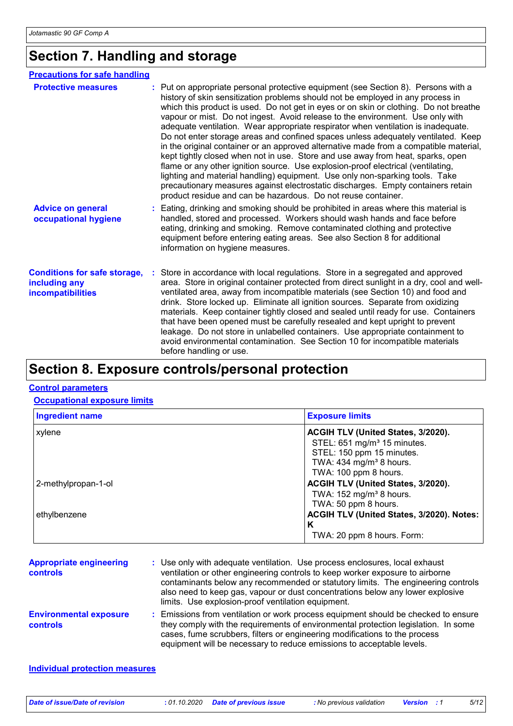# **Section 7. Handling and storage**

| <b>Precautions for safe handling</b>                                      |                                                                                                                                                                                                                                                                                                                                                                                                                                                                                                                                                                                                                                                                                                                                                                                                                                                                                                                                                                                                                                 |
|---------------------------------------------------------------------------|---------------------------------------------------------------------------------------------------------------------------------------------------------------------------------------------------------------------------------------------------------------------------------------------------------------------------------------------------------------------------------------------------------------------------------------------------------------------------------------------------------------------------------------------------------------------------------------------------------------------------------------------------------------------------------------------------------------------------------------------------------------------------------------------------------------------------------------------------------------------------------------------------------------------------------------------------------------------------------------------------------------------------------|
| <b>Protective measures</b>                                                | : Put on appropriate personal protective equipment (see Section 8). Persons with a<br>history of skin sensitization problems should not be employed in any process in<br>which this product is used. Do not get in eyes or on skin or clothing. Do not breathe<br>vapour or mist. Do not ingest. Avoid release to the environment. Use only with<br>adequate ventilation. Wear appropriate respirator when ventilation is inadequate.<br>Do not enter storage areas and confined spaces unless adequately ventilated. Keep<br>in the original container or an approved alternative made from a compatible material,<br>kept tightly closed when not in use. Store and use away from heat, sparks, open<br>flame or any other ignition source. Use explosion-proof electrical (ventilating,<br>lighting and material handling) equipment. Use only non-sparking tools. Take<br>precautionary measures against electrostatic discharges. Empty containers retain<br>product residue and can be hazardous. Do not reuse container. |
| <b>Advice on general</b><br>occupational hygiene                          | : Eating, drinking and smoking should be prohibited in areas where this material is<br>handled, stored and processed. Workers should wash hands and face before<br>eating, drinking and smoking. Remove contaminated clothing and protective<br>equipment before entering eating areas. See also Section 8 for additional<br>information on hygiene measures.                                                                                                                                                                                                                                                                                                                                                                                                                                                                                                                                                                                                                                                                   |
| <b>Conditions for safe storage,</b><br>including any<br>incompatibilities | : Store in accordance with local regulations. Store in a segregated and approved<br>area. Store in original container protected from direct sunlight in a dry, cool and well-<br>ventilated area, away from incompatible materials (see Section 10) and food and<br>drink. Store locked up. Eliminate all ignition sources. Separate from oxidizing<br>materials. Keep container tightly closed and sealed until ready for use. Containers<br>that have been opened must be carefully resealed and kept upright to prevent<br>leakage. Do not store in unlabelled containers. Use appropriate containment to<br>avoid environmental contamination. See Section 10 for incompatible materials<br>before handling or use.                                                                                                                                                                                                                                                                                                         |

### **Section 8. Exposure controls/personal protection**

#### **Control parameters**

**Occupational exposure limits**

| <b>Ingredient name</b> | <b>Exposure limits</b>                    |
|------------------------|-------------------------------------------|
| xylene                 | ACGIH TLV (United States, 3/2020).        |
|                        | STEL: 651 mg/m <sup>3</sup> 15 minutes.   |
|                        | STEL: 150 ppm 15 minutes.                 |
|                        | TWA: $434$ mg/m <sup>3</sup> 8 hours.     |
|                        | TWA: 100 ppm 8 hours.                     |
| 2-methylpropan-1-ol    | ACGIH TLV (United States, 3/2020).        |
|                        | TWA: $152 \text{ mg/m}^3$ 8 hours.        |
|                        | TWA: 50 ppm 8 hours.                      |
| ethylbenzene           | ACGIH TLV (United States, 3/2020). Notes: |
|                        | Κ                                         |
|                        | TWA: 20 ppm 8 hours. Form:                |

| <b>Appropriate engineering</b><br><b>controls</b> | : Use only with adequate ventilation. Use process enclosures, local exhaust<br>ventilation or other engineering controls to keep worker exposure to airborne<br>contaminants below any recommended or statutory limits. The engineering controls<br>also need to keep gas, vapour or dust concentrations below any lower explosive<br>limits. Use explosion-proof ventilation equipment. |
|---------------------------------------------------|------------------------------------------------------------------------------------------------------------------------------------------------------------------------------------------------------------------------------------------------------------------------------------------------------------------------------------------------------------------------------------------|
| <b>Environmental exposure</b><br><b>controls</b>  | : Emissions from ventilation or work process equipment should be checked to ensure<br>they comply with the requirements of environmental protection legislation. In some<br>cases, fume scrubbers, filters or engineering modifications to the process<br>equipment will be necessary to reduce emissions to acceptable levels.                                                          |

#### **Individual protection measures**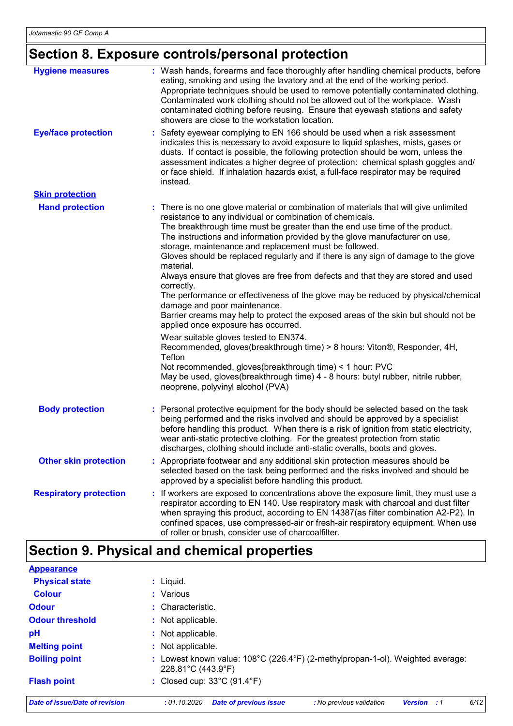# **Section 8. Exposure controls/personal protection**

| <b>Hygiene measures</b>       | : Wash hands, forearms and face thoroughly after handling chemical products, before<br>eating, smoking and using the lavatory and at the end of the working period.<br>Appropriate techniques should be used to remove potentially contaminated clothing.<br>Contaminated work clothing should not be allowed out of the workplace. Wash<br>contaminated clothing before reusing. Ensure that eyewash stations and safety<br>showers are close to the workstation location.                                                                                                                                                                                                                                                                                                                                                                                                                                                                                                                                                                                                                                                                              |
|-------------------------------|----------------------------------------------------------------------------------------------------------------------------------------------------------------------------------------------------------------------------------------------------------------------------------------------------------------------------------------------------------------------------------------------------------------------------------------------------------------------------------------------------------------------------------------------------------------------------------------------------------------------------------------------------------------------------------------------------------------------------------------------------------------------------------------------------------------------------------------------------------------------------------------------------------------------------------------------------------------------------------------------------------------------------------------------------------------------------------------------------------------------------------------------------------|
| <b>Eye/face protection</b>    | Safety eyewear complying to EN 166 should be used when a risk assessment<br>indicates this is necessary to avoid exposure to liquid splashes, mists, gases or<br>dusts. If contact is possible, the following protection should be worn, unless the<br>assessment indicates a higher degree of protection: chemical splash goggles and/<br>or face shield. If inhalation hazards exist, a full-face respirator may be required<br>instead.                                                                                                                                                                                                                                                                                                                                                                                                                                                                                                                                                                                                                                                                                                               |
| <b>Skin protection</b>        |                                                                                                                                                                                                                                                                                                                                                                                                                                                                                                                                                                                                                                                                                                                                                                                                                                                                                                                                                                                                                                                                                                                                                          |
| <b>Hand protection</b>        | : There is no one glove material or combination of materials that will give unlimited<br>resistance to any individual or combination of chemicals.<br>The breakthrough time must be greater than the end use time of the product.<br>The instructions and information provided by the glove manufacturer on use,<br>storage, maintenance and replacement must be followed.<br>Gloves should be replaced regularly and if there is any sign of damage to the glove<br>material.<br>Always ensure that gloves are free from defects and that they are stored and used<br>correctly.<br>The performance or effectiveness of the glove may be reduced by physical/chemical<br>damage and poor maintenance.<br>Barrier creams may help to protect the exposed areas of the skin but should not be<br>applied once exposure has occurred.<br>Wear suitable gloves tested to EN374.<br>Recommended, gloves(breakthrough time) > 8 hours: Viton®, Responder, 4H,<br>Teflon<br>Not recommended, gloves(breakthrough time) < 1 hour: PVC<br>May be used, gloves(breakthrough time) 4 - 8 hours: butyl rubber, nitrile rubber,<br>neoprene, polyvinyl alcohol (PVA) |
| <b>Body protection</b>        | : Personal protective equipment for the body should be selected based on the task<br>being performed and the risks involved and should be approved by a specialist<br>before handling this product. When there is a risk of ignition from static electricity,<br>wear anti-static protective clothing. For the greatest protection from static<br>discharges, clothing should include anti-static overalls, boots and gloves.                                                                                                                                                                                                                                                                                                                                                                                                                                                                                                                                                                                                                                                                                                                            |
| <b>Other skin protection</b>  | : Appropriate footwear and any additional skin protection measures should be<br>selected based on the task being performed and the risks involved and should be<br>approved by a specialist before handling this product.                                                                                                                                                                                                                                                                                                                                                                                                                                                                                                                                                                                                                                                                                                                                                                                                                                                                                                                                |
| <b>Respiratory protection</b> | If workers are exposed to concentrations above the exposure limit, they must use a<br>respirator according to EN 140. Use respiratory mask with charcoal and dust filter<br>when spraying this product, according to EN 14387(as filter combination A2-P2). In<br>confined spaces, use compressed-air or fresh-air respiratory equipment. When use<br>of roller or brush, consider use of charcoalfilter.                                                                                                                                                                                                                                                                                                                                                                                                                                                                                                                                                                                                                                                                                                                                                |

# **Section 9. Physical and chemical properties**

| <b>Appearance</b>              |                                                                                                              |
|--------------------------------|--------------------------------------------------------------------------------------------------------------|
| <b>Physical state</b>          | $:$ Liquid.                                                                                                  |
| <b>Colour</b>                  | : Various                                                                                                    |
| <b>Odour</b>                   | : Characteristic.                                                                                            |
| <b>Odour threshold</b>         | : Not applicable.                                                                                            |
| pH                             | : Not applicable.                                                                                            |
| <b>Melting point</b>           | : Not applicable.                                                                                            |
| <b>Boiling point</b>           | Lowest known value: 108°C (226.4°F) (2-methylpropan-1-ol). Weighted average:<br>228.81°C (443.9°F)           |
| <b>Flash point</b>             | : Closed cup: $33^{\circ}$ C (91.4 $^{\circ}$ F)                                                             |
| Date of issue/Date of revision | 6/12<br>: 01.10.2020<br><b>Date of previous issue</b><br>: No previous validation<br><b>Version</b><br>- : 1 |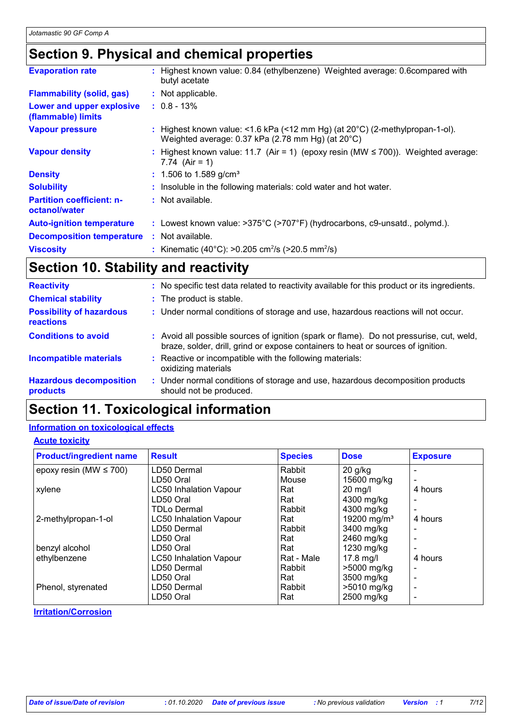### **Section 9. Physical and chemical properties**

| <b>Evaporation rate</b>                           | : Highest known value: 0.84 (ethylbenzene) Weighted average: 0.6compared with<br>butyl acetate                                              |
|---------------------------------------------------|---------------------------------------------------------------------------------------------------------------------------------------------|
| <b>Flammability (solid, gas)</b>                  | : Not applicable.                                                                                                                           |
| Lower and upper explosive<br>(flammable) limits   | $: 0.8 - 13\%$                                                                                                                              |
| <b>Vapour pressure</b>                            | : Highest known value: <1.6 kPa (<12 mm Hg) (at $20^{\circ}$ C) (2-methylpropan-1-ol).<br>Weighted average: 0.37 kPa (2.78 mm Hg) (at 20°C) |
| <b>Vapour density</b>                             | : Highest known value: 11.7 (Air = 1) (epoxy resin (MW $\leq$ 700)). Weighted average:<br>7.74 $(Air = 1)$                                  |
| <b>Density</b>                                    | $: 1.506$ to 1.589 g/cm <sup>3</sup>                                                                                                        |
| <b>Solubility</b>                                 | : Insoluble in the following materials: cold water and hot water.                                                                           |
| <b>Partition coefficient: n-</b><br>octanol/water | : Not available.                                                                                                                            |
| <b>Auto-ignition temperature</b>                  | : Lowest known value: >375°C (>707°F) (hydrocarbons, c9-unsatd., polymd.).                                                                  |
| <b>Decomposition temperature</b>                  | : Not available.                                                                                                                            |
| <b>Viscosity</b>                                  | : Kinematic (40°C): >0.205 cm <sup>2</sup> /s (>20.5 mm <sup>2</sup> /s)                                                                    |

## **Section 10. Stability and reactivity**

| <b>Reactivity</b>                            | : No specific test data related to reactivity available for this product or its ingredients.                                                                                 |
|----------------------------------------------|------------------------------------------------------------------------------------------------------------------------------------------------------------------------------|
| <b>Chemical stability</b>                    | : The product is stable.                                                                                                                                                     |
| <b>Possibility of hazardous</b><br>reactions | : Under normal conditions of storage and use, hazardous reactions will not occur.                                                                                            |
| <b>Conditions to avoid</b>                   | : Avoid all possible sources of ignition (spark or flame). Do not pressurise, cut, weld,<br>braze, solder, drill, grind or expose containers to heat or sources of ignition. |
| <b>Incompatible materials</b>                | : Reactive or incompatible with the following materials:<br>oxidizing materials                                                                                              |
| <b>Hazardous decomposition</b><br>products   | : Under normal conditions of storage and use, hazardous decomposition products<br>should not be produced.                                                                    |

### **Section 11. Toxicological information**

#### **Information on toxicological effects**

#### **Acute toxicity**

| <b>Product/ingredient name</b> | <b>Result</b>                 | <b>Species</b> | <b>Dose</b>             | <b>Exposure</b> |
|--------------------------------|-------------------------------|----------------|-------------------------|-----------------|
| epoxy resin (MW $\leq$ 700)    | LD50 Dermal                   | Rabbit         | $20$ g/kg               |                 |
|                                | LD50 Oral                     | Mouse          | 15600 mg/kg             |                 |
| xylene                         | <b>LC50 Inhalation Vapour</b> | Rat            | $20 \text{ mg/l}$       | 4 hours         |
|                                | LD50 Oral                     | Rat            | 4300 mg/kg              |                 |
|                                | <b>TDLo Dermal</b>            | Rabbit         | 4300 mg/kg              |                 |
| 2-methylpropan-1-ol            | <b>LC50 Inhalation Vapour</b> | Rat            | 19200 mg/m <sup>3</sup> | 4 hours         |
|                                | LD50 Dermal                   | Rabbit         | 3400 mg/kg              |                 |
|                                | LD50 Oral                     | Rat            | 2460 mg/kg              |                 |
| benzyl alcohol                 | LD50 Oral                     | Rat            | 1230 mg/kg              |                 |
| ethylbenzene                   | <b>LC50 Inhalation Vapour</b> | Rat - Male     | $17.8$ mg/l             | 4 hours         |
|                                | LD50 Dermal                   | Rabbit         | >5000 mg/kg             |                 |
|                                | LD50 Oral                     | Rat            | 3500 mg/kg              |                 |
| Phenol, styrenated             | LD50 Dermal                   | Rabbit         | >5010 mg/kg             |                 |
|                                | LD50 Oral                     | Rat            | 2500 mg/kg              |                 |

**Irritation/Corrosion**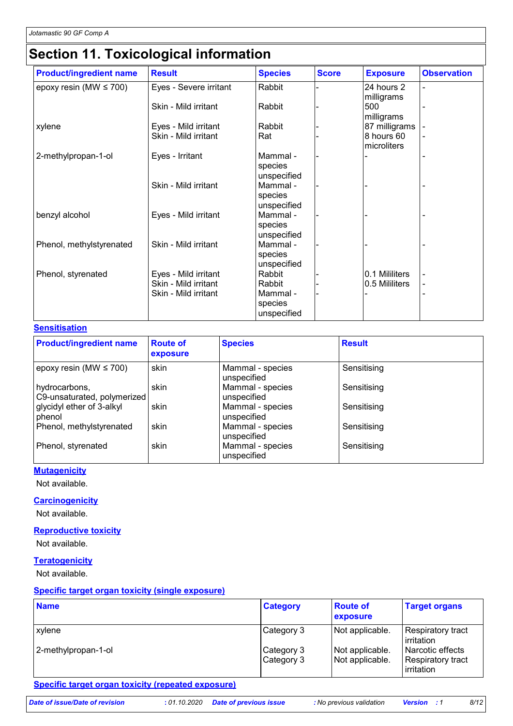# **Section 11. Toxicological information**

| <b>Product/ingredient name</b> | <b>Result</b>                                                        | <b>Species</b>                                         | <b>Score</b> | <b>Exposure</b>                  | <b>Observation</b> |
|--------------------------------|----------------------------------------------------------------------|--------------------------------------------------------|--------------|----------------------------------|--------------------|
| epoxy resin (MW $\leq$ 700)    | Eyes - Severe irritant                                               | Rabbit                                                 |              | 24 hours 2                       |                    |
|                                | Skin - Mild irritant                                                 | Rabbit                                                 |              | milligrams<br>500<br>milligrams  |                    |
| xylene                         | Eyes - Mild irritant                                                 | Rabbit                                                 |              | 87 milligrams                    |                    |
|                                | Skin - Mild irritant                                                 | Rat                                                    |              | 8 hours 60<br>microliters        |                    |
| 2-methylpropan-1-ol            | Eyes - Irritant                                                      | Mammal -<br>species<br>unspecified                     |              |                                  |                    |
|                                | Skin - Mild irritant                                                 | Mammal -<br>species<br>unspecified                     |              |                                  |                    |
| benzyl alcohol                 | Eyes - Mild irritant                                                 | Mammal -<br>species<br>unspecified                     |              |                                  |                    |
| Phenol, methylstyrenated       | Skin - Mild irritant                                                 | Mammal -<br>species<br>unspecified                     |              |                                  |                    |
| Phenol, styrenated             | Eyes - Mild irritant<br>Skin - Mild irritant<br>Skin - Mild irritant | Rabbit<br>Rabbit<br>Mammal -<br>species<br>unspecified |              | 0.1 Mililiters<br>0.5 Mililiters | -                  |

#### **Sensitisation**

| <b>Product/ingredient name</b>               | <b>Route of</b><br>exposure | <b>Species</b>                  | <b>Result</b> |
|----------------------------------------------|-----------------------------|---------------------------------|---------------|
| $ epoxy$ resin (MW $\leq 700$ )              | skin                        | Mammal - species<br>unspecified | Sensitising   |
| hydrocarbons,<br>C9-unsaturated, polymerized | skin                        | Mammal - species<br>unspecified | Sensitising   |
| glycidyl ether of 3-alkyl<br>phenol          | skin                        | Mammal - species<br>unspecified | Sensitising   |
| Phenol, methylstyrenated                     | skin                        | Mammal - species<br>unspecified | Sensitising   |
| Phenol, styrenated                           | skin                        | Mammal - species<br>unspecified | Sensitising   |

#### **Mutagenicity**

Not available.

#### **Carcinogenicity**

Not available.

#### **Reproductive toxicity**

Not available.

#### **Teratogenicity**

Not available.

#### **Specific target organ toxicity (single exposure)**

| <b>Name</b>         | <b>Category</b>           | <b>Route of</b><br>exposure        | <b>Target organs</b>                                         |
|---------------------|---------------------------|------------------------------------|--------------------------------------------------------------|
| xylene              | Category 3                | Not applicable.                    | <b>Respiratory tract</b><br>irritation                       |
| 2-methylpropan-1-ol | Category 3<br>∣Category 3 | Not applicable.<br>Not applicable. | l Narcotic effects<br><b>Respiratory tract</b><br>irritation |

#### **Specific target organ toxicity (repeated exposure)**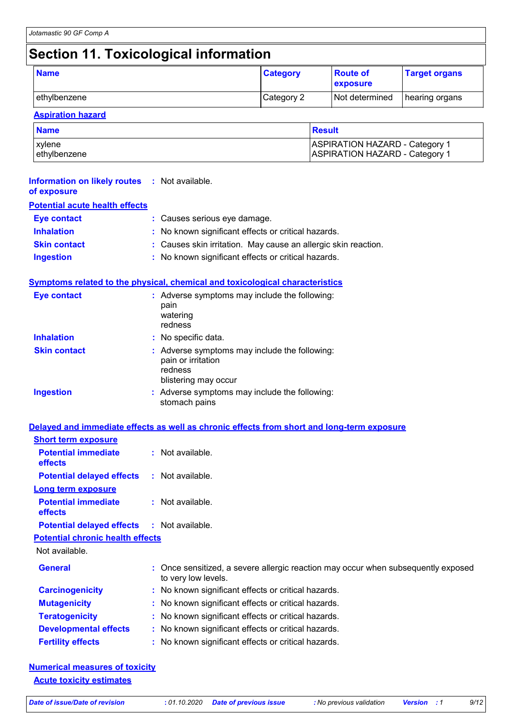# **Section 11. Toxicological information**

| <b>Name</b>  | <b>Category</b> | <b>Route of</b><br>exposure | <b>Target organs</b> |
|--------------|-----------------|-----------------------------|----------------------|
| ethylbenzene | Category 2      | Not determined              | hearing organs       |

#### **Aspiration hazard**

| <b>Name</b>  | Result                                |
|--------------|---------------------------------------|
| xvlene       | <b>ASPIRATION HAZARD - Category 1</b> |
| ethylbenzene | <b>ASPIRATION HAZARD - Category 1</b> |

| <b>Information on likely routes</b><br>of exposure | : Not available.                                                                                       |  |  |
|----------------------------------------------------|--------------------------------------------------------------------------------------------------------|--|--|
| <b>Potential acute health effects</b>              |                                                                                                        |  |  |
| <b>Eye contact</b>                                 | : Causes serious eye damage.                                                                           |  |  |
| <b>Inhalation</b>                                  | No known significant effects or critical hazards.                                                      |  |  |
| <b>Skin contact</b>                                | Causes skin irritation. May cause an allergic skin reaction.                                           |  |  |
| <b>Ingestion</b>                                   | No known significant effects or critical hazards.                                                      |  |  |
|                                                    | Symptoms related to the physical, chemical and toxicological characteristics                           |  |  |
| <b>Eye contact</b>                                 | : Adverse symptoms may include the following:<br>pain<br>watering<br>redness                           |  |  |
| <b>Inhalation</b>                                  | : No specific data.                                                                                    |  |  |
| <b>Skin contact</b>                                | : Adverse symptoms may include the following:<br>pain or irritation<br>redness<br>blistering may occur |  |  |
| <b>Ingestion</b>                                   | : Adverse symptoms may include the following:<br>stomach pains                                         |  |  |
|                                                    | Delayed and immediate effects as well as chronic effects from short and long-term exposure             |  |  |
| <b>Short term exposure</b>                         |                                                                                                        |  |  |
| <b>Potential immediate</b><br>effects              | : Not available.                                                                                       |  |  |
| <b>Potential delayed effects</b>                   | : Not available.                                                                                       |  |  |
| <b>Long term exposure</b>                          |                                                                                                        |  |  |
| <b>Potential immediate</b><br>effects              | : Not available.                                                                                       |  |  |
| <b>Potential delayed effects</b>                   | : Not available.                                                                                       |  |  |
| <b>Potential chronic health effects</b>            |                                                                                                        |  |  |
| Not available.                                     |                                                                                                        |  |  |
| <b>General</b>                                     | Once sensitized, a severe allergic reaction may occur when subsequently exposed<br>to very low levels. |  |  |
| <b>Carcinogenicity</b>                             | No known significant effects or critical hazards.                                                      |  |  |
| <b>Mutagenicity</b>                                | No known significant effects or critical hazards.                                                      |  |  |
| <b>Teratogenicity</b>                              | No known significant effects or critical hazards.                                                      |  |  |
| <b>Developmental effects</b>                       | : No known significant effects or critical hazards.                                                    |  |  |

**Fertility effects :** No known significant effects or critical hazards.

| <b>Numerical measures of toxicity</b> |  |
|---------------------------------------|--|
| <b>Acute toxicity estimates</b>       |  |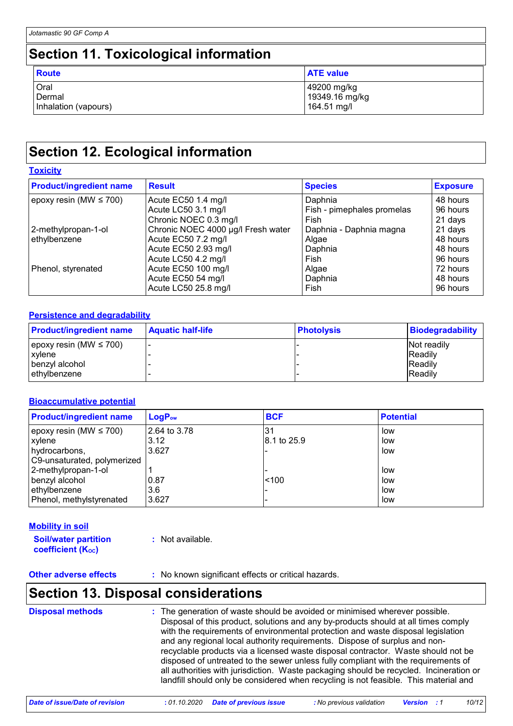### **Section 11. Toxicological information**

| <b>Route</b>         | <b>ATE value</b> |
|----------------------|------------------|
| Oral                 | 49200 mg/kg      |
| Dermal               | 19349.16 mg/kg   |
| Inhalation (vapours) | 164.51 mg/l      |

## **Section 12. Ecological information**

#### **Toxicity**

| <b>Product/ingredient name</b> | <b>Result</b>                      | <b>Species</b>             | <b>Exposure</b> |  |
|--------------------------------|------------------------------------|----------------------------|-----------------|--|
| epoxy resin (MW $\leq$ 700)    | Acute EC50 1.4 mg/l                | Daphnia                    | 48 hours        |  |
|                                | Acute LC50 3.1 mg/l                | Fish - pimephales promelas | 96 hours        |  |
|                                | Chronic NOEC 0.3 mg/l              | Fish                       | 21 days         |  |
| 2-methylpropan-1-ol            | Chronic NOEC 4000 µg/l Fresh water | Daphnia - Daphnia magna    | 21 days         |  |
| ethylbenzene                   | Acute EC50 7.2 mg/l                | Algae                      | 48 hours        |  |
|                                | Acute EC50 2.93 mg/l               | Daphnia                    | 48 hours        |  |
|                                | Acute LC50 4.2 mg/l                | Fish                       | 96 hours        |  |
| Phenol, styrenated             | Acute EC50 100 mg/l                | Algae                      | 72 hours        |  |
|                                | Acute EC50 54 mg/l                 | Daphnia                    | 48 hours        |  |
|                                | Acute LC50 25.8 mg/l               | Fish                       | 96 hours        |  |

#### **Persistence and degradability**

| <b>Product/ingredient name</b> | <b>Aquatic half-life</b> | <b>Photolysis</b> | <b>Biodegradability</b> |
|--------------------------------|--------------------------|-------------------|-------------------------|
| epoxy resin (MW $\leq 700$ )   |                          |                   | Not readily             |
| xylene                         |                          |                   | <b>Readily</b>          |
| benzyl alcohol                 |                          |                   | <b>IReadily</b>         |
| ethylbenzene                   |                          |                   | <b>IReadily</b>         |

#### **Bioaccumulative potential**

| <b>Product/ingredient name</b> | $LogP_{ow}$  | <b>BCF</b>  | <b>Potential</b> |
|--------------------------------|--------------|-------------|------------------|
| epoxy resin (MW $\leq$ 700)    | 2.64 to 3.78 | 31          | low              |
| xylene                         | 3.12         | 8.1 to 25.9 | low              |
| hydrocarbons,                  | 3.627        |             | low              |
| C9-unsaturated, polymerized    |              |             |                  |
| 2-methylpropan-1-ol            |              |             | low              |
| benzyl alcohol                 | 0.87         | < 100       | low              |
| ethylbenzene                   | 3.6          |             | low              |
| Phenol, methylstyrenated       | 3.627        |             | low              |

#### **Mobility in soil**

**Soil/water partition coefficient (KOC)**

**:** Not available.

**Other adverse effects** : No known significant effects or critical hazards.

### **Section 13. Disposal considerations**

**Disposal methods :**

The generation of waste should be avoided or minimised wherever possible. Disposal of this product, solutions and any by-products should at all times comply with the requirements of environmental protection and waste disposal legislation and any regional local authority requirements. Dispose of surplus and nonrecyclable products via a licensed waste disposal contractor. Waste should not be disposed of untreated to the sewer unless fully compliant with the requirements of all authorities with jurisdiction. Waste packaging should be recycled. Incineration or landfill should only be considered when recycling is not feasible. This material and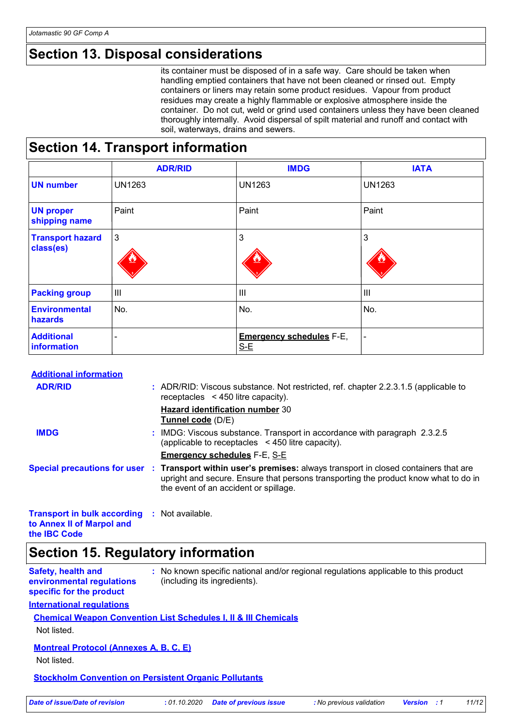### **Section 13. Disposal considerations**

its container must be disposed of in a safe way. Care should be taken when handling emptied containers that have not been cleaned or rinsed out. Empty containers or liners may retain some product residues. Vapour from product residues may create a highly flammable or explosive atmosphere inside the container. Do not cut, weld or grind used containers unless they have been cleaned thoroughly internally. Avoid dispersal of spilt material and runoff and contact with soil, waterways, drains and sewers.

### **Section 14. Transport information**

|                                      | <b>ADR/RID</b> | <b>IMDG</b>                              | <b>IATA</b>    |
|--------------------------------------|----------------|------------------------------------------|----------------|
| <b>UN number</b>                     | <b>UN1263</b>  | <b>UN1263</b>                            | <b>UN1263</b>  |
| <b>UN proper</b><br>shipping name    | Paint          | Paint                                    | Paint          |
| <b>Transport hazard</b><br>class(es) | $\mathbf{3}$   | 3                                        | 3              |
| <b>Packing group</b>                 | IШ             | III                                      | III            |
| <b>Environmental</b><br>hazards      | No.            | No.                                      | No.            |
| <b>Additional</b><br>information     |                | <b>Emergency schedules F-E,</b><br>$S-E$ | $\blacksquare$ |

#### **Additional information**

| <b>ADR/RID</b>                                                                                   |  | : ADR/RID: Viscous substance. Not restricted, ref. chapter 2.2.3.1.5 (applicable to<br>receptacles $\leq$ 450 litre capacity).                                                                                                                  |
|--------------------------------------------------------------------------------------------------|--|-------------------------------------------------------------------------------------------------------------------------------------------------------------------------------------------------------------------------------------------------|
|                                                                                                  |  | <b>Hazard identification number 30</b><br>Tunnel code (D/E)                                                                                                                                                                                     |
| <b>IMDG</b>                                                                                      |  | : IMDG: Viscous substance. Transport in accordance with paragraph 2.3.2.5<br>(applicable to receptacles $\leq$ 450 litre capacity).                                                                                                             |
|                                                                                                  |  | <b>Emergency schedules F-E, S-E</b>                                                                                                                                                                                                             |
|                                                                                                  |  | Special precautions for user : Transport within user's premises: always transport in closed containers that are<br>upright and secure. Ensure that persons transporting the product know what to do in<br>the event of an accident or spillage. |
| <b>Transport in bulk according : Not available.</b><br>to Annex II of Marpol and<br>the IBC Code |  |                                                                                                                                                                                                                                                 |

### **Section 15. Regulatory information**

| Safety, health and        | : No known specific national and/or regional regulations applicable to this product |
|---------------------------|-------------------------------------------------------------------------------------|
| environmental regulations | (including its ingredients).                                                        |
| specific for the product  |                                                                                     |

#### **International regulations**

#### **Chemical Weapon Convention List Schedules I, II & III Chemicals**

Not listed.

#### **Montreal Protocol (Annexes A, B, C, E)**

Not listed.

#### **Stockholm Convention on Persistent Organic Pollutants**